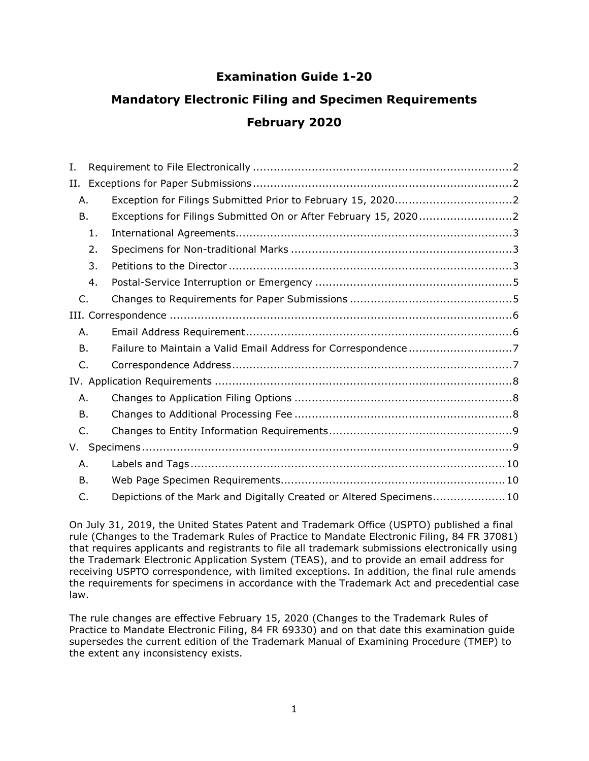# **Examination Guide 1-20**

# **Mandatory Electronic Filing and Specimen Requirements February 2020**

| I.           |    |                                                                      |  |
|--------------|----|----------------------------------------------------------------------|--|
| Н.           |    |                                                                      |  |
| Α.           |    |                                                                      |  |
| <b>B.</b>    |    | Exceptions for Filings Submitted On or After February 15, 20202      |  |
|              | 1. |                                                                      |  |
|              | 2. |                                                                      |  |
|              | 3. |                                                                      |  |
|              | 4. |                                                                      |  |
| C.           |    |                                                                      |  |
|              |    |                                                                      |  |
| Α.           |    |                                                                      |  |
| <b>B.</b>    |    | Failure to Maintain a Valid Email Address for Correspondence7        |  |
| C.           |    |                                                                      |  |
|              |    |                                                                      |  |
| Α.           |    |                                                                      |  |
| B.           |    |                                                                      |  |
| $\mathsf{C}$ |    |                                                                      |  |
| V.           |    |                                                                      |  |
| Α.           |    |                                                                      |  |
| B.           |    |                                                                      |  |
| C.           |    | Depictions of the Mark and Digitally Created or Altered Specimens 10 |  |

On July 31, 2019, the United States Patent and Trademark Office (USPTO) published a final rule (Changes to the Trademark Rules of Practice to Mandate Electronic Filing, 84 FR 37081) that requires applicants and registrants to file all trademark submissions electronically using the Trademark Electronic Application System (TEAS), and to provide an email address for receiving USPTO correspondence, with limited exceptions. In addition, the final rule amends the requirements for specimens in accordance with the Trademark Act and precedential case law.

The rule changes are effective February 15, 2020 (Changes to the Trademark Rules of Practice to Mandate Electronic Filing, 84 FR 69330) and on that date this examination guide supersedes the current edition of the Trademark Manual of Examining Procedure (TMEP) to the extent any inconsistency exists.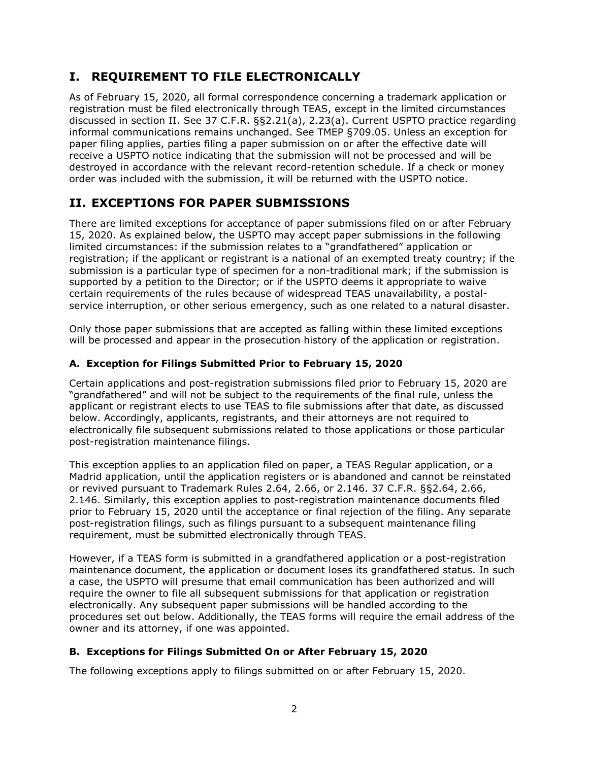# <span id="page-1-0"></span>**I. REQUIREMENT TO FILE ELECTRONICALLY**

As of February 15, 2020, all formal correspondence concerning a trademark application or registration must be filed electronically through TEAS, except in the limited circumstances discussed in section II. See 37 C.F.R. §§2.21(a), 2.23(a). Current USPTO practice regarding informal communications remains unchanged. See TMEP §709.05. Unless an exception for paper filing applies, parties filing a paper submission on or after the effective date will receive a USPTO notice indicating that the submission will not be processed and will be destroyed in accordance with the relevant record-retention schedule. If a check or money order was included with the submission, it will be returned with the USPTO notice.

# <span id="page-1-1"></span>**II. EXCEPTIONS FOR PAPER SUBMISSIONS**

There are limited exceptions for acceptance of paper submissions filed on or after February 15, 2020. As explained below, the USPTO may accept paper submissions in the following limited circumstances: if the submission relates to a "grandfathered" application or registration; if the applicant or registrant is a national of an exempted treaty country; if the submission is a particular type of specimen for a non-traditional mark; if the submission is supported by a petition to the Director; or if the USPTO deems it appropriate to waive certain requirements of the rules because of widespread TEAS unavailability, a postalservice interruption, or other serious emergency, such as one related to a natural disaster.

Only those paper submissions that are accepted as falling within these limited exceptions will be processed and appear in the prosecution history of the application or registration.

# <span id="page-1-2"></span>**A. Exception for Filings Submitted Prior to February 15, 2020**

Certain applications and post-registration submissions filed prior to February 15, 2020 are "grandfathered" and will not be subject to the requirements of the final rule, unless the applicant or registrant elects to use TEAS to file submissions after that date, as discussed below. Accordingly, applicants, registrants, and their attorneys are not required to electronically file subsequent submissions related to those applications or those particular post-registration maintenance filings.

This exception applies to an application filed on paper, a TEAS Regular application, or a Madrid application, until the application registers or is abandoned and cannot be reinstated or revived pursuant to Trademark Rules 2.64, 2.66, or 2.146. 37 C.F.R. §§2.64, 2.66, 2.146. Similarly, this exception applies to post-registration maintenance documents filed prior to February 15, 2020 until the acceptance or final rejection of the filing. Any separate post-registration filings, such as filings pursuant to a subsequent maintenance filing requirement, must be submitted electronically through TEAS.

However, if a TEAS form is submitted in a grandfathered application or a post-registration maintenance document, the application or document loses its grandfathered status. In such a case, the USPTO will presume that email communication has been authorized and will require the owner to file all subsequent submissions for that application or registration electronically. Any subsequent paper submissions will be handled according to the procedures set out below. Additionally, the TEAS forms will require the email address of the owner and its attorney, if one was appointed.

# <span id="page-1-3"></span>**B. Exceptions for Filings Submitted On or After February 15, 2020**

The following exceptions apply to filings submitted on or after February 15, 2020.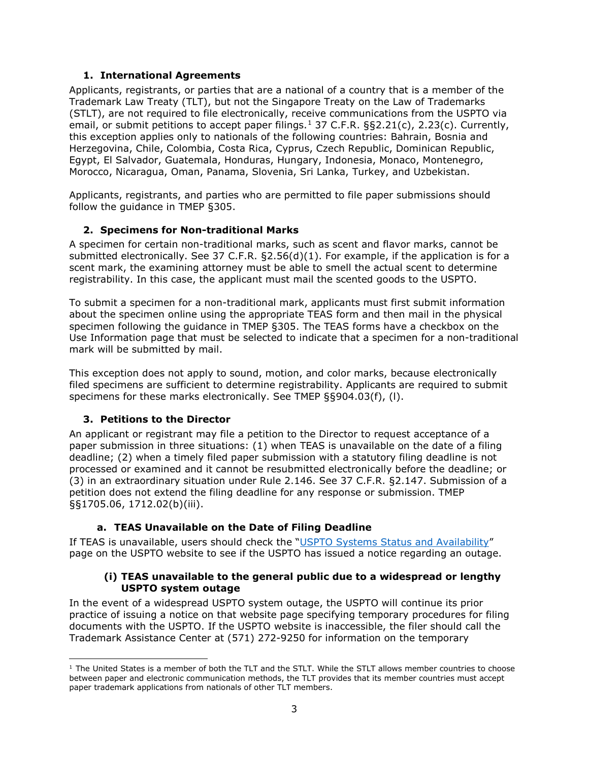#### **1. International Agreements**

<span id="page-2-0"></span>Applicants, registrants, or parties that are a national of a country that is a member of the Trademark Law Treaty (TLT), but not the Singapore Treaty on the Law of Trademarks (STLT), are not required to file electronically, receive communications from the USPTO via email, or submit petitions to accept paper filings.<sup>[1](#page-2-3)</sup> 37 C.F.R. §§2.21(c), 2.23(c). Currently, this exception applies only to nationals of the following countries: Bahrain, Bosnia and Herzegovina, Chile, Colombia, Costa Rica, Cyprus, Czech Republic, Dominican Republic, Egypt, El Salvador, Guatemala, Honduras, Hungary, Indonesia, Monaco, Montenegro, Morocco, Nicaragua, Oman, Panama, Slovenia, Sri Lanka, Turkey, and Uzbekistan.

Applicants, registrants, and parties who are permitted to file paper submissions should follow the guidance in TMEP §305.

### <span id="page-2-1"></span>**2. Specimens for Non-traditional Marks**

A specimen for certain non-traditional marks, such as scent and flavor marks, cannot be submitted electronically. See 37 C.F.R. §2.56(d)(1). For example, if the application is for a scent mark, the examining attorney must be able to smell the actual scent to determine registrability. In this case, the applicant must mail the scented goods to the USPTO.

To submit a specimen for a non-traditional mark, applicants must first submit information about the specimen online using the appropriate TEAS form and then mail in the physical specimen following the guidance in TMEP §305. The TEAS forms have a checkbox on the Use Information page that must be selected to indicate that a specimen for a non-traditional mark will be submitted by mail.

This exception does not apply to sound, motion, and color marks, because electronically filed specimens are sufficient to determine registrability. Applicants are required to submit specimens for these marks electronically. See TMEP §§904.03(f), (l).

### <span id="page-2-2"></span>**3. Petitions to the Director**

An applicant or registrant may file a petition to the Director to request acceptance of a paper submission in three situations: (1) when TEAS is unavailable on the date of a filing deadline; (2) when a timely filed paper submission with a statutory filing deadline is not processed or examined and it cannot be resubmitted electronically before the deadline; or (3) in an extraordinary situation under Rule 2.146. See 37 C.F.R. §2.147. Submission of a petition does not extend the filing deadline for any response or submission. TMEP §§1705.06, 1712.02(b)(iii).

### **a. TEAS Unavailable on the Date of Filing Deadline**

If TEAS is unavailable, users should check the ["USPTO Systems Status and Availability"](https://www.uspto.gov/blog/ebiz/) page on the USPTO website to see if the USPTO has issued a notice regarding an outage.

#### **(i) TEAS unavailable to the general public due to a widespread or lengthy USPTO system outage**

In the event of a widespread USPTO system outage, the USPTO will continue its prior practice of issuing a notice on that website page specifying temporary procedures for filing documents with the USPTO. If the USPTO website is inaccessible, the filer should call the Trademark Assistance Center at (571) 272-9250 for information on the temporary

<span id="page-2-3"></span> $1$  The United States is a member of both the TLT and the STLT. While the STLT allows member countries to choose between paper and electronic communication methods, the TLT provides that its member countries must accept paper trademark applications from nationals of other TLT members.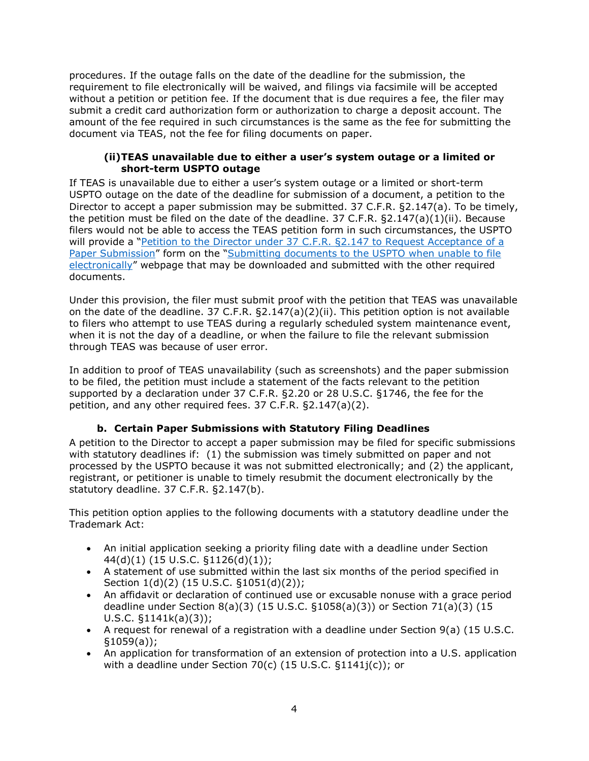procedures. If the outage falls on the date of the deadline for the submission, the requirement to file electronically will be waived, and filings via facsimile will be accepted without a petition or petition fee. If the document that is due requires a fee, the filer may submit a credit card authorization form or authorization to charge a deposit account. The amount of the fee required in such circumstances is the same as the fee for submitting the document via TEAS, not the fee for filing documents on paper.

#### **(ii)TEAS unavailable due to either a user's system outage or a limited or short-term USPTO outage**

If TEAS is unavailable due to either a user's system outage or a limited or short-term USPTO outage on the date of the deadline for submission of a document, a petition to the Director to accept a paper submission may be submitted. 37 C.F.R. §2.147(a). To be timely, the petition must be filed on the date of the deadline. 37 C.F.R.  $\S 2.147(a)(1)(ii)$ . Because filers would not be able to access the TEAS petition form in such circumstances, the USPTO will provide a "Petition to the Director under 37 C.F.R. §2.147 to Request Acceptance of a [Paper Submission"](https://www.uspto.gov/sites/default/files/documents/TM-CoverSheet-Petition-to-Director.pdf) form on the "Submitting documents to the USPTO when unable to file [electronically"](https://www.uspto.gov/trademarks-application-process/filing-online/filing-documents-during-outage) webpage that may be downloaded and submitted with the other required documents.

Under this provision, the filer must submit proof with the petition that TEAS was unavailable on the date of the deadline. 37 C.F.R. §2.147(a)(2)(ii). This petition option is not available to filers who attempt to use TEAS during a regularly scheduled system maintenance event, when it is not the day of a deadline, or when the failure to file the relevant submission through TEAS was because of user error.

In addition to proof of TEAS unavailability (such as screenshots) and the paper submission to be filed, the petition must include a statement of the facts relevant to the petition supported by a declaration under 37 C.F.R. §2.20 or 28 U.S.C. §1746, the fee for the petition, and any other required fees. 37 C.F.R. §2.147(a)(2).

# **b. Certain Paper Submissions with Statutory Filing Deadlines**

A petition to the Director to accept a paper submission may be filed for specific submissions with statutory deadlines if: (1) the submission was timely submitted on paper and not processed by the USPTO because it was not submitted electronically; and (2) the applicant, registrant, or petitioner is unable to timely resubmit the document electronically by the statutory deadline. 37 C.F.R. §2.147(b).

This petition option applies to the following documents with a statutory deadline under the Trademark Act:

- An initial application seeking a priority filing date with a deadline under Section 44(d)(1) (15 U.S.C. §1126(d)(1));
- A statement of use submitted within the last six months of the period specified in Section 1(d)(2) (15 U.S.C. §1051(d)(2));
- An affidavit or declaration of continued use or excusable nonuse with a grace period deadline under Section 8(a)(3) (15 U.S.C. §1058(a)(3)) or Section 71(a)(3) (15 U.S.C. §1141k(a)(3));
- A request for renewal of a registration with a deadline under Section 9(a) (15 U.S.C. §1059(a));
- An application for transformation of an extension of protection into a U.S. application with a deadline under Section 70(c) (15 U.S.C. §1141j(c)); or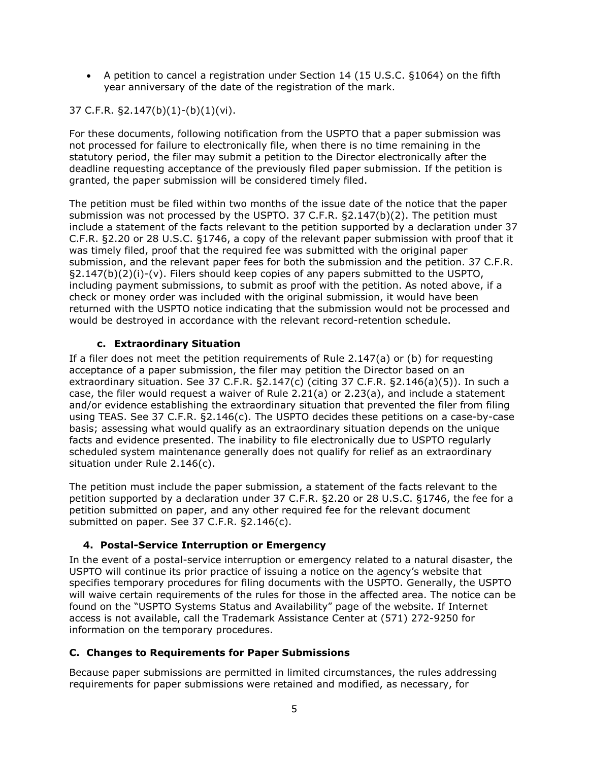• A petition to cancel a registration under Section 14 (15 U.S.C. §1064) on the fifth year anniversary of the date of the registration of the mark.

37 C.F.R. §2.147(b)(1)-(b)(1)(vi).

For these documents, following notification from the USPTO that a paper submission was not processed for failure to electronically file, when there is no time remaining in the statutory period, the filer may submit a petition to the Director electronically after the deadline requesting acceptance of the previously filed paper submission. If the petition is granted, the paper submission will be considered timely filed.

The petition must be filed within two months of the issue date of the notice that the paper submission was not processed by the USPTO. 37 C.F.R. §2.147(b)(2). The petition must include a statement of the facts relevant to the petition supported by a declaration under 37 C.F.R. §2.20 or 28 U.S.C. §1746, a copy of the relevant paper submission with proof that it was timely filed, proof that the required fee was submitted with the original paper submission, and the relevant paper fees for both the submission and the petition. 37 C.F.R. §2.147(b)(2)(i)-(v). Filers should keep copies of any papers submitted to the USPTO, including payment submissions, to submit as proof with the petition. As noted above, if a check or money order was included with the original submission, it would have been returned with the USPTO notice indicating that the submission would not be processed and would be destroyed in accordance with the relevant record-retention schedule.

### **c. Extraordinary Situation**

If a filer does not meet the petition requirements of Rule  $2.147(a)$  or (b) for requesting acceptance of a paper submission, the filer may petition the Director based on an extraordinary situation. See 37 C.F.R.  $\S2.147(c)$  (citing 37 C.F.R.  $\S2.146(a)(5)$ ). In such a case, the filer would request a waiver of Rule 2.21(a) or 2.23(a), and include a statement and/or evidence establishing the extraordinary situation that prevented the filer from filing using TEAS. See 37 C.F.R. §2.146(c). The USPTO decides these petitions on a case-by-case basis; assessing what would qualify as an extraordinary situation depends on the unique facts and evidence presented. The inability to file electronically due to USPTO regularly scheduled system maintenance generally does not qualify for relief as an extraordinary situation under Rule 2.146(c).

The petition must include the paper submission, a statement of the facts relevant to the petition supported by a declaration under 37 C.F.R. §2.20 or 28 U.S.C. §1746, the fee for a petition submitted on paper, and any other required fee for the relevant document submitted on paper. See 37 C.F.R. §2.146(c).

# <span id="page-4-0"></span>**4. Postal-Service Interruption or Emergency**

In the event of a postal-service interruption or emergency related to a natural disaster, the USPTO will continue its prior practice of issuing a notice on the agency's website that specifies temporary procedures for filing documents with the USPTO. Generally, the USPTO will waive certain requirements of the rules for those in the affected area. The notice can be found on the "USPTO Systems Status and Availability" page of the website. If Internet access is not available, call the Trademark Assistance Center at (571) 272-9250 for information on the temporary procedures.

# <span id="page-4-1"></span>**C. Changes to Requirements for Paper Submissions**

Because paper submissions are permitted in limited circumstances, the rules addressing requirements for paper submissions were retained and modified, as necessary, for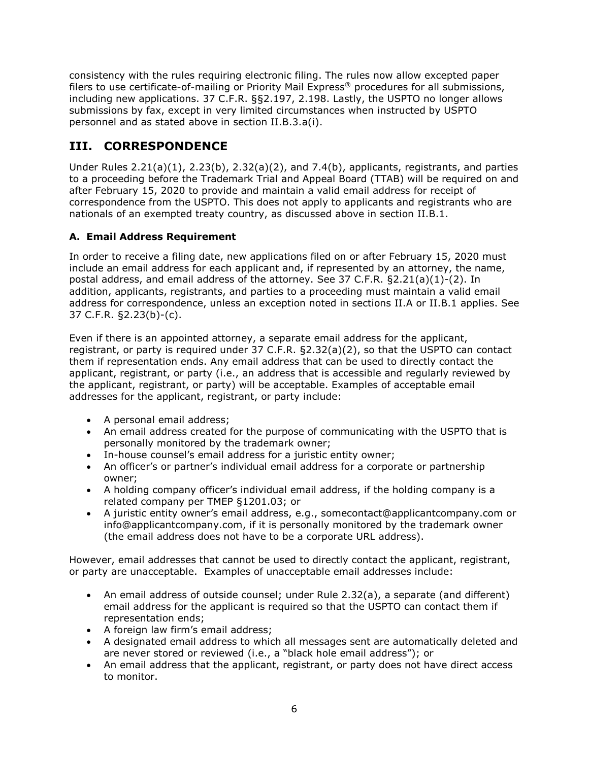consistency with the rules requiring electronic filing. The rules now allow excepted paper filers to use certificate-of-mailing or Priority Mail Express® procedures for all submissions, including new applications. 37 C.F.R. §§2.197, 2.198. Lastly, the USPTO no longer allows submissions by fax, except in very limited circumstances when instructed by USPTO personnel and as stated above in section II.B.3.a(i).

# <span id="page-5-0"></span>**III. CORRESPONDENCE**

Under Rules 2.21(a)(1), 2.23(b), 2.32(a)(2), and 7.4(b), applicants, registrants, and parties to a proceeding before the Trademark Trial and Appeal Board (TTAB) will be required on and after February 15, 2020 to provide and maintain a valid email address for receipt of correspondence from the USPTO. This does not apply to applicants and registrants who are nationals of an exempted treaty country, as discussed above in section II.B.1.

# <span id="page-5-1"></span>**A. Email Address Requirement**

In order to receive a filing date, new applications filed on or after February 15, 2020 must include an email address for each applicant and, if represented by an attorney, the name, postal address, and email address of the attorney. See 37 C.F.R. §2.21(a)(1)-(2). In addition, applicants, registrants, and parties to a proceeding must maintain a valid email address for correspondence, unless an exception noted in sections II.A or II.B.1 applies. See 37 C.F.R. §2.23(b)-(c).

Even if there is an appointed attorney, a separate email address for the applicant, registrant, or party is required under 37 C.F.R. §2.32(a)(2), so that the USPTO can contact them if representation ends. Any email address that can be used to directly contact the applicant, registrant, or party (i.e., an address that is accessible and regularly reviewed by the applicant, registrant, or party) will be acceptable. Examples of acceptable email addresses for the applicant, registrant, or party include:

- A personal email address;
- An email address created for the purpose of communicating with the USPTO that is personally monitored by the trademark owner;
- In-house counsel's email address for a juristic entity owner;
- An officer's or partner's individual email address for a corporate or partnership owner;
- A holding company officer's individual email address, if the holding company is a related company per TMEP §1201.03; or
- A juristic entity owner's email address, e.g., somecontact@applicantcompany.com or info@applicantcompany.com, if it is personally monitored by the trademark owner (the email address does not have to be a corporate URL address).

However, email addresses that cannot be used to directly contact the applicant, registrant, or party are unacceptable. Examples of unacceptable email addresses include:

- An email address of outside counsel; under Rule 2.32(a), a separate (and different) email address for the applicant is required so that the USPTO can contact them if representation ends;
- A foreign law firm's email address;
- A designated email address to which all messages sent are automatically deleted and are never stored or reviewed (i.e., a "black hole email address"); or
- An email address that the applicant, registrant, or party does not have direct access to monitor.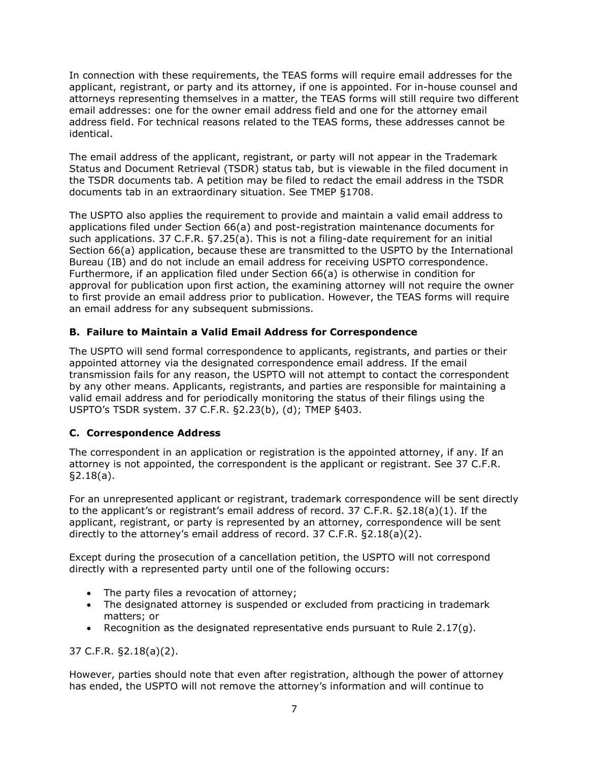In connection with these requirements, the TEAS forms will require email addresses for the applicant, registrant, or party and its attorney, if one is appointed. For in-house counsel and attorneys representing themselves in a matter, the TEAS forms will still require two different email addresses: one for the owner email address field and one for the attorney email address field. For technical reasons related to the TEAS forms, these addresses cannot be identical.

The email address of the applicant, registrant, or party will not appear in the Trademark Status and Document Retrieval (TSDR) status tab, but is viewable in the filed document in the TSDR documents tab. A petition may be filed to redact the email address in the TSDR documents tab in an extraordinary situation. See TMEP §1708.

The USPTO also applies the requirement to provide and maintain a valid email address to applications filed under Section 66(a) and post-registration maintenance documents for such applications. 37 C.F.R. §7.25(a). This is not a filing-date requirement for an initial Section 66(a) application, because these are transmitted to the USPTO by the International Bureau (IB) and do not include an email address for receiving USPTO correspondence. Furthermore, if an application filed under Section 66(a) is otherwise in condition for approval for publication upon first action, the examining attorney will not require the owner to first provide an email address prior to publication. However, the TEAS forms will require an email address for any subsequent submissions.

### <span id="page-6-0"></span>**B. Failure to Maintain a Valid Email Address for Correspondence**

The USPTO will send formal correspondence to applicants, registrants, and parties or their appointed attorney via the designated correspondence email address. If the email transmission fails for any reason, the USPTO will not attempt to contact the correspondent by any other means. Applicants, registrants, and parties are responsible for maintaining a valid email address and for periodically monitoring the status of their filings using the USPTO's TSDR system. 37 C.F.R. §2.23(b), (d); TMEP §403.

#### <span id="page-6-1"></span>**C. Correspondence Address**

The correspondent in an application or registration is the appointed attorney, if any. If an attorney is not appointed, the correspondent is the applicant or registrant. See 37 C.F.R. §2.18(a).

For an unrepresented applicant or registrant, trademark correspondence will be sent directly to the applicant's or registrant's email address of record. 37 C.F.R. §2.18(a)(1). If the applicant, registrant, or party is represented by an attorney, correspondence will be sent directly to the attorney's email address of record. 37 C.F.R. §2.18(a)(2).

Except during the prosecution of a cancellation petition, the USPTO will not correspond directly with a represented party until one of the following occurs:

- The party files a revocation of attorney;
- The designated attorney is suspended or excluded from practicing in trademark matters; or
- Recognition as the designated representative ends pursuant to Rule 2.17(q).

37 C.F.R. §2.18(a)(2).

However, parties should note that even after registration, although the power of attorney has ended, the USPTO will not remove the attorney's information and will continue to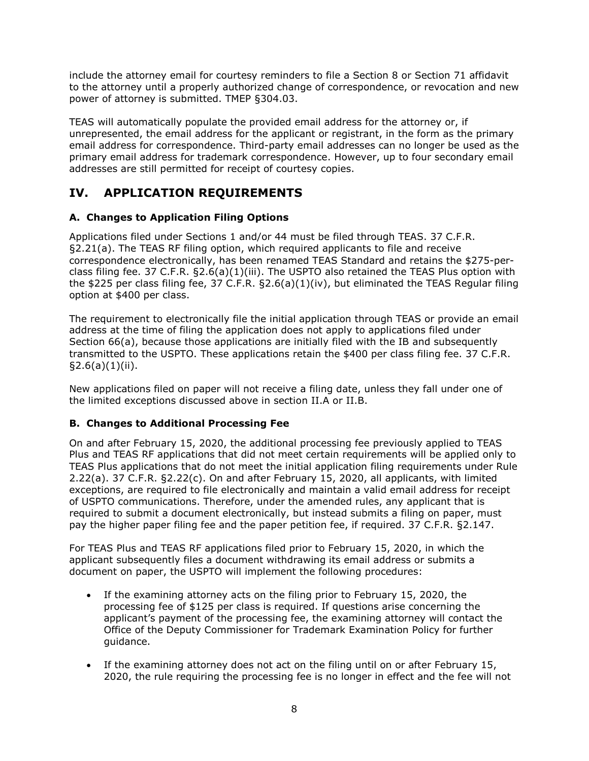include the attorney email for courtesy reminders to file a Section 8 or Section 71 affidavit to the attorney until a properly authorized change of correspondence, or revocation and new power of attorney is submitted. TMEP §304.03.

TEAS will automatically populate the provided email address for the attorney or, if unrepresented, the email address for the applicant or registrant, in the form as the primary email address for correspondence. Third-party email addresses can no longer be used as the primary email address for trademark correspondence. However, up to four secondary email addresses are still permitted for receipt of courtesy copies.

# <span id="page-7-0"></span>**IV. APPLICATION REQUIREMENTS**

### <span id="page-7-1"></span>**A. Changes to Application Filing Options**

Applications filed under Sections 1 and/or 44 must be filed through TEAS. 37 C.F.R. §2.21(a). The TEAS RF filing option, which required applicants to file and receive correspondence electronically, has been renamed TEAS Standard and retains the \$275-perclass filing fee. 37 C.F.R. §2.6(a)(1)(iii). The USPTO also retained the TEAS Plus option with the \$225 per class filing fee, 37 C.F.R. §2.6(a)(1)(iv), but eliminated the TEAS Regular filing option at \$400 per class.

The requirement to electronically file the initial application through TEAS or provide an email address at the time of filing the application does not apply to applications filed under Section 66(a), because those applications are initially filed with the IB and subsequently transmitted to the USPTO. These applications retain the \$400 per class filing fee. 37 C.F.R. §2.6(a)(1)(ii).

New applications filed on paper will not receive a filing date, unless they fall under one of the limited exceptions discussed above in section II.A or II.B.

### <span id="page-7-2"></span>**B. Changes to Additional Processing Fee**

On and after February 15, 2020, the additional processing fee previously applied to TEAS Plus and TEAS RF applications that did not meet certain requirements will be applied only to TEAS Plus applications that do not meet the initial application filing requirements under Rule 2.22(a). 37 C.F.R. §2.22(c). On and after February 15, 2020, all applicants, with limited exceptions, are required to file electronically and maintain a valid email address for receipt of USPTO communications. Therefore, under the amended rules, any applicant that is required to submit a document electronically, but instead submits a filing on paper, must pay the higher paper filing fee and the paper petition fee, if required. 37 C.F.R. §2.147.

For TEAS Plus and TEAS RF applications filed prior to February 15, 2020, in which the applicant subsequently files a document withdrawing its email address or submits a document on paper, the USPTO will implement the following procedures:

- If the examining attorney acts on the filing prior to February 15, 2020, the processing fee of \$125 per class is required. If questions arise concerning the applicant's payment of the processing fee, the examining attorney will contact the Office of the Deputy Commissioner for Trademark Examination Policy for further guidance.
- If the examining attorney does not act on the filing until on or after February 15, 2020, the rule requiring the processing fee is no longer in effect and the fee will not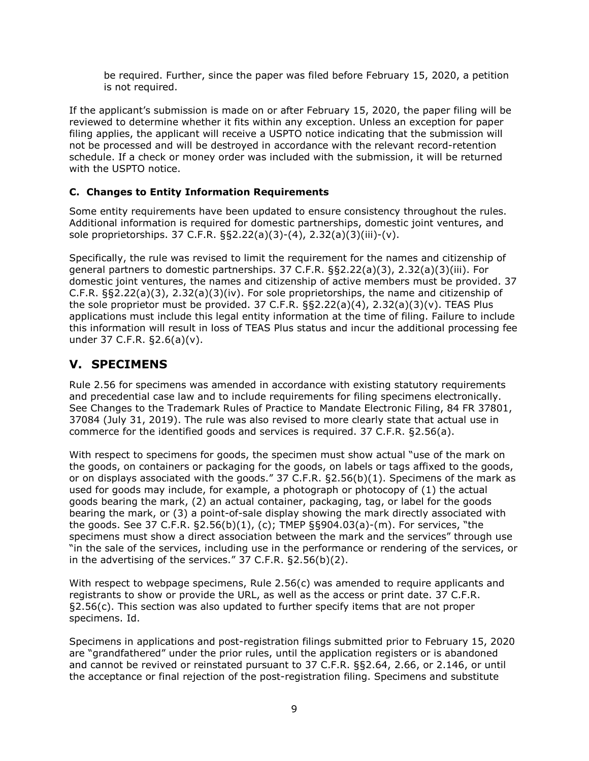be required. Further, since the paper was filed before February 15, 2020, a petition is not required.

If the applicant's submission is made on or after February 15, 2020, the paper filing will be reviewed to determine whether it fits within any exception. Unless an exception for paper filing applies, the applicant will receive a USPTO notice indicating that the submission will not be processed and will be destroyed in accordance with the relevant record-retention schedule. If a check or money order was included with the submission, it will be returned with the USPTO notice.

### <span id="page-8-0"></span>**C. Changes to Entity Information Requirements**

Some entity requirements have been updated to ensure consistency throughout the rules. Additional information is required for domestic partnerships, domestic joint ventures, and sole proprietorships. 37 C.F.R. §§2.22(a)(3)-(4), 2.32(a)(3)(iii)-(v).

Specifically, the rule was revised to limit the requirement for the names and citizenship of general partners to domestic partnerships. 37 C.F.R. §§2.22(a)(3), 2.32(a)(3)(iii). For domestic joint ventures, the names and citizenship of active members must be provided. 37 C.F.R. §§2.22(a)(3), 2.32(a)(3)(iv). For sole proprietorships, the name and citizenship of the sole proprietor must be provided. 37 C.F.R.  $\S$ §2.22(a)(4), 2.32(a)(3)(v). TEAS Plus applications must include this legal entity information at the time of filing. Failure to include this information will result in loss of TEAS Plus status and incur the additional processing fee under 37 C.F.R. §2.6(a)(v).

# <span id="page-8-1"></span>**V. SPECIMENS**

Rule 2.56 for specimens was amended in accordance with existing statutory requirements and precedential case law and to include requirements for filing specimens electronically. See Changes to the Trademark Rules of Practice to Mandate Electronic Filing, 84 FR 37801, 37084 (July 31, 2019). The rule was also revised to more clearly state that actual use in commerce for the identified goods and services is required. 37 C.F.R. §2.56(a).

With respect to specimens for goods, the specimen must show actual "use of the mark on the goods, on containers or packaging for the goods, on labels or tags affixed to the goods, or on displays associated with the goods." 37 C.F.R. §2.56(b)(1). Specimens of the mark as used for goods may include, for example, a photograph or photocopy of (1) the actual goods bearing the mark, (2) an actual container, packaging, tag, or label for the goods bearing the mark, or (3) a point-of-sale display showing the mark directly associated with the goods. See 37 C.F.R.  $\S 2.56(b)(1)$ , (c); TMEP  $\S 904.03(a)-(m)$ . For services, "the specimens must show a direct association between the mark and the services" through use "in the sale of the services, including use in the performance or rendering of the services, or in the advertising of the services." 37 C.F.R. §2.56(b)(2).

With respect to webpage specimens, Rule 2.56(c) was amended to require applicants and registrants to show or provide the URL, as well as the access or print date. 37 C.F.R.  $\S2.56(c)$ . This section was also updated to further specify items that are not proper specimens. Id.

Specimens in applications and post-registration filings submitted prior to February 15, 2020 are "grandfathered" under the prior rules, until the application registers or is abandoned and cannot be revived or reinstated pursuant to 37 C.F.R. §§2.64, 2.66, or 2.146, or until the acceptance or final rejection of the post-registration filing. Specimens and substitute